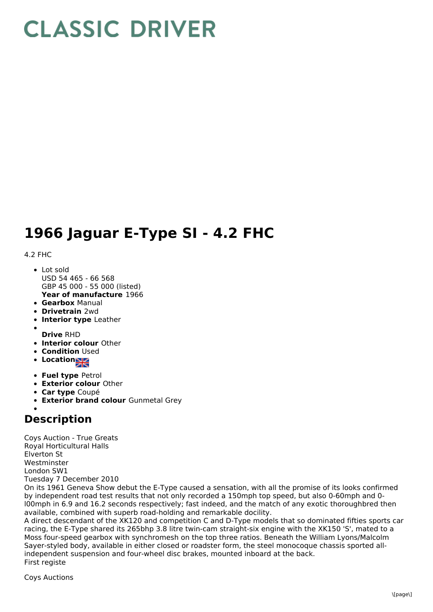## **CLASSIC DRIVER**

## **1966 Jaguar E-Type SI - 4.2 FHC**

## 4.2 FHC

- **Year of manufacture** 1966 Lot sold USD 54 465 - 66 568 GBP 45 000 - 55 000 (listed)
- **Gearbox** Manual
- **Drivetrain** 2wd
- **Interior type** Leather
- **Drive** RHD
- **Interior colour** Other
- **Condition Used**
- **•** Location
- **Fuel type** Petrol
- **Exterior colour** Other
- **Car type** Coupé
- **Exterior brand colour** Gunmetal Grey

## **Description**

Coys Auction - True Greats Royal Horticultural Halls Elverton St Westminster London SW1 Tuesday 7 December 2010

On its 1961 Geneva Show debut the E-Type caused a sensation, with all the promise of its looks confirmed by independent road test results that not only recorded a 150mph top speed, but also 0-60mph and 0 l00mph in 6.9 and 16.2 seconds respectively; fast indeed, and the match of any exotic thoroughbred then available, combined with superb road-holding and remarkable docility.

A direct descendant of the XK120 and competition C and D-Type models that so dominated fifties sports car racing, the E-Type shared its 265bhp 3.8 litre twin-cam straight-six engine with the XK150 'S', mated to a Moss four-speed gearbox with synchromesh on the top three ratios. Beneath the William Lyons/Malcolm Sayer-styled body, available in either closed or roadster form, the steel monocoque chassis sported allindependent suspension and four-wheel disc brakes, mounted inboard at the back. First registe

Coys Auctions